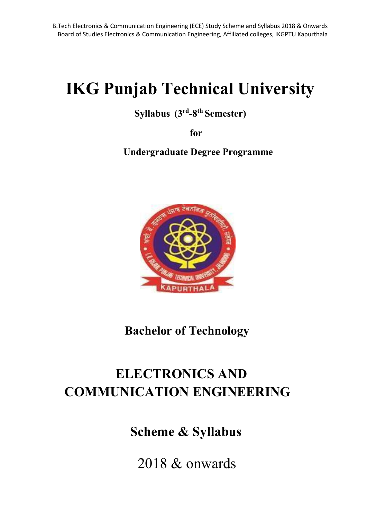# IKG Punjab Technical University

### Syllabus (3rd-8th Semester)

for

Undergraduate Degree Programme



Bachelor of Technology

## ELECTRONICS AND COMMUNICATION ENGINEERING

Scheme & Syllabus

2018 & onwards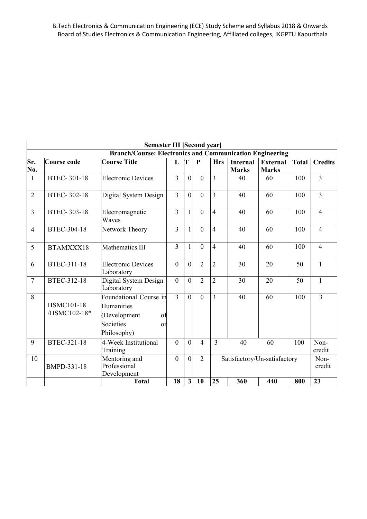|                |                                                                 | <b>Semester III [Second year]</b>                                                            |                |                |                |                |                                 |                          |                |                |  |
|----------------|-----------------------------------------------------------------|----------------------------------------------------------------------------------------------|----------------|----------------|----------------|----------------|---------------------------------|--------------------------|----------------|----------------|--|
|                | <b>Branch/Course: Electronics and Communication Engineering</b> |                                                                                              |                |                |                |                |                                 |                          |                |                |  |
| Sr.<br>No.     | Course code                                                     | <b>Course Title</b>                                                                          | $\mathbf{L}$   | T              | $\mathbf{P}$   | <b>Hrs</b>     | <b>Internal</b><br><b>Marks</b> | External<br><b>Marks</b> | <b>Total</b>   | <b>Credits</b> |  |
| -1             | <b>BTEC-301-18</b>                                              | <b>Electronic Devices</b>                                                                    | 3              | $\Omega$       | $\theta$       | 3              | 40                              | 60                       | 100            | 3              |  |
| $\overline{2}$ | <b>BTEC-302-18</b>                                              | Digital System Design                                                                        | $\overline{3}$ | $\theta$       | $\mathbf{0}$   | 3              | 40                              | 60                       | 100            | $\overline{3}$ |  |
| $\overline{3}$ | <b>BTEC-303-18</b>                                              | Electromagnetic<br>Waves                                                                     | $\overline{3}$ | $\mathbf{1}$   | $\mathbf{0}$   | $\overline{4}$ | 40                              | 60                       | 100            | $\overline{4}$ |  |
| $\overline{4}$ | BTEC-304-18                                                     | Network Theory                                                                               | 3              | $\mathbf{1}$   | $\theta$       | $\overline{4}$ | 40                              | 60                       | 100            | $\overline{4}$ |  |
| 5              | BTAMXXX18                                                       | Mathematics III                                                                              | 3              | 1              | $\theta$       | $\overline{4}$ | 40                              | 60                       | 100            | 4              |  |
| 6              | <b>BTEC-311-18</b>                                              | <b>Electronic Devices</b><br>Laboratory                                                      | $\overline{0}$ | $\theta$       | $\overline{2}$ | $\overline{2}$ | 30                              | 20                       | 50             | $\mathbf{1}$   |  |
| $\overline{7}$ | BTEC-312-18                                                     | Digital System Design<br>Laboratory                                                          | $\theta$       | $\theta$       | $\overline{2}$ | $\overline{2}$ | 30                              | 20                       | 50             | $\mathbf{1}$   |  |
| 8              | <b>HSMC101-18</b><br>/HSMC102-18*                               | Foundational Course in<br>Humanities<br>(Development<br>of<br>Societies<br>or<br>Philosophy) | $\overline{3}$ | $\Omega$       | $\theta$       | $\overline{3}$ | 40                              | 60                       | 100            | $\overline{3}$ |  |
| 9              | <b>BTEC-321-18</b>                                              | 4-Week Institutional<br>Training                                                             | $\theta$       | $\theta$       | $\overline{4}$ | 3              | 40                              | 60                       | 100            | Non-<br>credit |  |
| 10             | BMPD-331-18                                                     | Mentoring and<br>Professional<br>Development                                                 | $\mathbf{0}$   | $\overline{0}$ | $\overline{2}$ |                | Satisfactory/Un-satisfactory    |                          | Non-<br>credit |                |  |
|                |                                                                 | <b>Total</b>                                                                                 | 18             | 3 <sup>1</sup> | <b>10</b>      | 25             | 360                             | 440                      | 800            | 23             |  |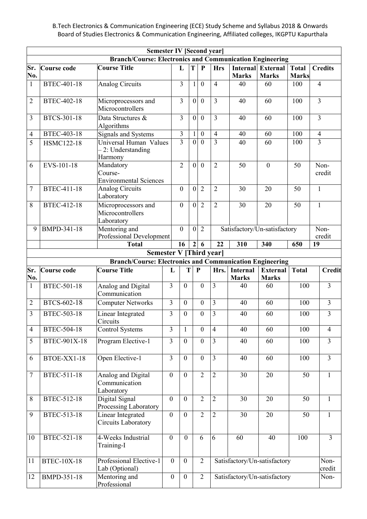B.Tech Electronics & Communication Engineering (ECE) Study Scheme and Syllabus 2018 & Onwards Board of Studies Electronics & Communication Engineering, Affiliated colleges, IKGPTU Kapurthala

|                |                                                                     | <b>Semester IV [Second year]</b><br><b>Branch/Course: Electronics and Communication Engineering</b> |                  |                |                  |                  |                         |                                 |                                          |                              |                |
|----------------|---------------------------------------------------------------------|-----------------------------------------------------------------------------------------------------|------------------|----------------|------------------|------------------|-------------------------|---------------------------------|------------------------------------------|------------------------------|----------------|
| Sr.<br>No.     | Course code                                                         | <b>Course Title</b>                                                                                 |                  | L              | T                | $\mathbf{P}$     | <b>Hrs</b>              | <b>Marks</b>                    | <b>Internal</b> External<br><b>Marks</b> | <b>Total</b><br><b>Marks</b> | <b>Credits</b> |
| $\mathbf{1}$   | <b>BTEC-401-18</b>                                                  | <b>Analog Circuits</b>                                                                              |                  | 3              | 1                | $\boldsymbol{0}$ | $\overline{4}$          | 40                              | 60                                       | 100                          | $\overline{4}$ |
| $\overline{2}$ | <b>BTEC-402-18</b>                                                  | Microprocessors and<br>Microcontrollers                                                             |                  | $\overline{3}$ | $\boldsymbol{0}$ | $\mathbf{0}$     | $\overline{3}$          | 40                              | 60                                       | 100                          | $\overline{3}$ |
| 3              | BTCS-301-18                                                         | Data Structures &<br>Algorithms                                                                     |                  | $\overline{3}$ | $\mathbf{0}$     | $\mathbf{0}$     | $\overline{3}$          | 40                              | 60                                       | 100                          | $\overline{3}$ |
| $\overline{4}$ | <b>BTEC-403-18</b>                                                  | Signals and Systems                                                                                 |                  | $\mathfrak{Z}$ | 1                | $\boldsymbol{0}$ | $\overline{4}$          | 40                              | 60                                       | 100                          | $\overline{4}$ |
| 5              | <b>HSMC122-18</b>                                                   | Universal Human Values<br>2: Understanding<br>Harmony                                               |                  | $\overline{3}$ | $\theta$         | $\theta$         | $\overline{3}$          | 40                              | 60                                       | 100                          | $\overline{3}$ |
| 6              | EVS-101-18                                                          | Mandatory<br>Course-<br><b>Environmental Sciences</b>                                               |                  | $\overline{2}$ | $\mathbf{0}$     | $\mathbf{0}$     | $\overline{2}$          | 50                              | $\mathbf{0}$                             | 50                           | Non-<br>credit |
| 7              | <b>BTEC-411-18</b>                                                  | <b>Analog Circuits</b><br>Laboratory                                                                |                  | $\theta$       | $\mathbf{0}$     | $\overline{2}$   | $\overline{2}$          | 30                              | 20                                       | 50                           | $\mathbf{1}$   |
| 8              | BTEC-412-18                                                         | Microprocessors and<br>Microcontrollers<br>Laboratory                                               |                  | $\mathbf{0}$   | $\mathbf{0}$     | $\overline{2}$   | $\overline{2}$          | 30                              | 20                                       | 50                           | $\mathbf{1}$   |
| 9              | <b>BMPD-341-18</b>                                                  | Mentoring and<br>$\boldsymbol{0}$<br>Professional Development                                       |                  | $\overline{0}$ | $\overline{2}$   |                  |                         | Satisfactory/Un-satisfactory    |                                          | Non-<br>credit               |                |
|                | $\overline{22}$<br>16<br>$\overline{2}$<br><b>Total</b><br>6<br>310 |                                                                                                     | 340              | 650            | $\overline{19}$  |                  |                         |                                 |                                          |                              |                |
|                |                                                                     | <b>Semester V [Third year]</b>                                                                      |                  |                |                  |                  |                         |                                 |                                          |                              |                |
|                |                                                                     | <b>Branch/Course: Electronics and Communication Engineering</b>                                     |                  |                |                  |                  |                         |                                 |                                          |                              |                |
| Sr.<br>No.     | Course code                                                         | <b>Course Title</b>                                                                                 | L                | T              |                  | $\mathbf{P}$     | Hrs.                    | <b>Internal</b><br><b>Marks</b> | <b>External</b><br><b>Marks</b>          | Total                        | <b>Credit</b>  |
| $\mathbf{1}$   | <b>BTEC-501-18</b>                                                  | Analog and Digital<br>Communication                                                                 | 3                | $\theta$       |                  | $\mathbf{0}$     | $\overline{3}$          | 40                              | 60                                       | 100                          | $\overline{3}$ |
| $\overline{2}$ | BTCS-602-18                                                         | <b>Computer Networks</b>                                                                            | $\mathfrak{Z}$   | $\mathbf{0}$   |                  | $\boldsymbol{0}$ | $\overline{3}$          | 40                              | 60                                       | 100                          | $\overline{3}$ |
| 3              | BTEC-503-18                                                         | Linear Integrated<br>Circuits                                                                       | 3                | $\mathbf{0}$   |                  | $\boldsymbol{0}$ | 3                       | 40                              | 60                                       | 100                          | 3              |
| $\overline{4}$ | BTEC-504-18                                                         | <b>Control Systems</b>                                                                              | $\overline{3}$   | 1              |                  | $\overline{0}$   | $\overline{4}$          | 40                              | 60                                       | 100                          | $\overline{4}$ |
| 5              | BTEC-901X-18                                                        | Program Elective-1                                                                                  | $\overline{3}$   | $\mathbf{0}$   |                  | $\overline{0}$   | $\overline{\mathbf{3}}$ | 40                              | 60                                       | 100                          | $\overline{3}$ |
| 6              | BTOE-XX1-18                                                         | Open Elective-1                                                                                     | $\overline{3}$   | $\mathbf{0}$   |                  | $\boldsymbol{0}$ | $\overline{3}$          | 40                              | 60                                       | 100                          | $\overline{3}$ |
| $\tau$         | BTEC-511-18                                                         | Analog and Digital<br>Communication<br>Laboratory                                                   | $\boldsymbol{0}$ | $\mathbf{0}$   |                  | $\overline{2}$   | $\overline{2}$          | 30                              | 20                                       | 50                           | $\mathbf{1}$   |
| 8              | BTEC-512-18                                                         | Digital Signal<br>Processing Laboratory                                                             | $\boldsymbol{0}$ | $\overline{0}$ |                  | $\overline{2}$   | $\overline{2}$          | 30                              | 20                                       | 50                           | $\mathbf{1}$   |
| 9              | BTEC-513-18                                                         | Linear Integrated<br>Circuits Laboratory                                                            | $\overline{0}$   | $\mathbf{0}$   |                  | $\overline{2}$   | $\overline{2}$          | 30                              | 20                                       | 50                           | $\mathbf{1}$   |
| 10             | BTEC-521-18                                                         | 4-Weeks Industrial<br>Training-I                                                                    | $\boldsymbol{0}$ | $\overline{0}$ |                  | 6                | $\overline{6}$          | 60                              | 40                                       | 100                          | $\overline{3}$ |
| 11             | <b>BTEC-10X-18</b>                                                  | Professional Elective-1<br>Lab (Optional)                                                           | $\mathbf{0}$     | $\overline{0}$ |                  | $\overline{2}$   |                         |                                 | Satisfactory/Un-satisfactory             |                              | Non-<br>credit |
| 12             | BMPD-351-18                                                         | Mentoring and<br>Professional                                                                       | $\boldsymbol{0}$ | $\mathbf{0}$   |                  | $\overline{2}$   |                         |                                 | Satisfactory/Un-satisfactory             |                              | Non-           |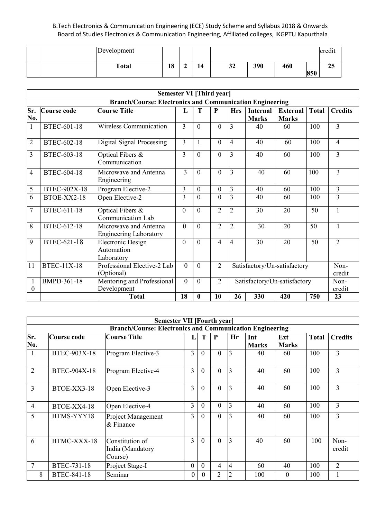|  | Development  |    |    |              |     |     |     | $\cdot$<br>cred <sub>1</sub> |
|--|--------------|----|----|--------------|-----|-----|-----|------------------------------|
|  | <b>Total</b> | 18 | 14 | $\sim$<br>⊾ت | 390 | 460 | 850 | $\sim$ $\sim$<br>43          |

|                          | Semester VI [Third year] |                                                                 |                |              |                |                              |                                 |                                 |                |                |
|--------------------------|--------------------------|-----------------------------------------------------------------|----------------|--------------|----------------|------------------------------|---------------------------------|---------------------------------|----------------|----------------|
|                          |                          | <b>Branch/Course: Electronics and Communication Engineering</b> |                |              |                |                              |                                 |                                 |                |                |
| Sr.<br>No.               | Course code              | <b>Course Title</b>                                             | $\mathbf{L}$   | T            | $\mathbf{P}$   | <b>Hrs</b>                   | <b>Internal</b><br><b>Marks</b> | <b>External</b><br><b>Marks</b> | <b>Total</b>   | <b>Credits</b> |
| 1                        | <b>BTEC-601-18</b>       | Wireless Communication                                          | $\overline{3}$ | $\Omega$     | $\theta$       | $\overline{3}$               | 40                              | 60                              | 100            | 3              |
| $\overline{2}$           | BTEC-602-18              | Digital Signal Processing                                       |                | 1            | $\theta$       | $\overline{4}$               | 40                              | 60                              | 100            | $\overline{4}$ |
| 3                        | BTEC-603-18              | Optical Fibers &<br>Communication                               | 3              | $\Omega$     | $\theta$       | $\overline{3}$               | 40                              | 60                              | 100            | 3              |
| $\overline{4}$           | <b>BTEC-604-18</b>       | Microwave and Antenna<br>Engineering                            | 3              | $\Omega$     | $\theta$       | 3                            | 40                              | 60                              | 100            | 3              |
| 5                        | BTEC-902X-18             | Program Elective-2                                              | 3              | $\theta$     | $\theta$       | 3                            | 40                              | 60                              | 100            | 3              |
| 6                        | BTOE-XX2-18              | Open Elective-2                                                 | 3              | $\Omega$     | $\theta$       | $\overline{3}$               | 40                              | 60                              | 100            | 3              |
| $\overline{7}$           | <b>BTEC-611-18</b>       | Optical Fibers &<br><b>Communication Lab</b>                    | $\theta$       | $\Omega$     | $\overline{2}$ | $\overline{2}$               | 30                              | 20                              | 50             | 1              |
| 8                        | BTEC-612-18              | Microwave and Antenna<br><b>Engineering Laboratory</b>          | $\theta$       | $\Omega$     | $\overline{2}$ | $\overline{2}$               | 30                              | 20                              | 50             | 1              |
| 9                        | BTEC-621-18              | <b>Electronic Design</b><br>Automation<br>Laboratory            | $\theta$       | $\theta$     | $\overline{4}$ | $\overline{4}$               | 30                              | 20                              | 50             | $\overline{2}$ |
| 11                       | <b>BTEC-11X-18</b>       | Professional Elective-2 Lab<br>(Optional)                       | $\Omega$       | $\Omega$     | $\overline{2}$ | Satisfactory/Un-satisfactory |                                 | Non-<br>credit                  |                |                |
| $\mathbf{1}$<br>$\Omega$ | BMPD-361-18              | Mentoring and Professional<br>Development                       | $\theta$       | $\theta$     | $\overline{2}$ | Satisfactory/Un-satisfactory |                                 |                                 | Non-<br>credit |                |
|                          |                          | <b>Total</b>                                                    | 18             | $\mathbf{0}$ | 10             | 26                           | 330                             | 420                             | 750            | 23             |

|                | <b>Semester VII [Fourth year]</b>                               |                                                |                |                |                |                |              |              |              |                |  |
|----------------|-----------------------------------------------------------------|------------------------------------------------|----------------|----------------|----------------|----------------|--------------|--------------|--------------|----------------|--|
|                | <b>Branch/Course: Electronics and Communication Engineering</b> |                                                |                |                |                |                |              |              |              |                |  |
| Sr.            | Course code                                                     | <b>Course Title</b>                            |                | T              | P              | Hr             | Int          | Ext          | <b>Total</b> | <b>Credits</b> |  |
| No.            |                                                                 |                                                |                |                |                |                | <b>Marks</b> | <b>Marks</b> |              |                |  |
| 1              | BTEC-903X-18                                                    | Program Elective-3                             | 3              | $\Omega$       | $\theta$       | 3              | 40           | 60           | 100          | 3              |  |
| $\overline{2}$ | BTEC-904X-18                                                    | Program Elective-4                             | 3              | $\theta$       | $\mathbf{0}$   | 3              | 40           | 60           | 100          | 3              |  |
| 3              | BTOE-XX3-18                                                     | Open Elective-3                                | $\overline{3}$ | $\Omega$       | $\Omega$       | 3              | 40           | 60           | 100          | 3              |  |
| 4              | BTOE-XX4-18                                                     | Open Elective-4                                | 3              | $\Omega$       | $\theta$       | 3              | 40           | 60           | 100          | 3              |  |
| 5              | BTMS-YYY18                                                      | Project Management<br>$&$ Finance              |                | $\overline{0}$ | $\theta$       | 3              | 40           | 60           | 100          | 3              |  |
| 6              | BTMC-XXX-18                                                     | Constitution of<br>India (Mandatory<br>Course) | 3              | $\Omega$       | $\Omega$       | 3              | 40           | 60           | 100          | Non-<br>credit |  |
| 7              | BTEC-731-18                                                     | Project Stage-I                                | $\theta$       | $\theta$       | 4              | 4              | 60           | 40           | 100          | $\overline{2}$ |  |
| 8              | BTEC-841-18                                                     | Seminar                                        | $\theta$       | $\theta$       | $\overline{2}$ | $\overline{2}$ | 100          | $\Omega$     | 100          |                |  |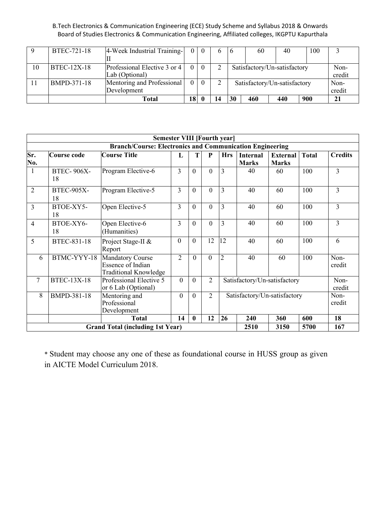|    | BTEC-721-18        | 4-Week Industrial Training-  | $\overline{0}$ | - 0      | <sub>b</sub> | -6                           | 60                           | 40     | 100 |      |
|----|--------------------|------------------------------|----------------|----------|--------------|------------------------------|------------------------------|--------|-----|------|
|    |                    |                              |                |          |              |                              |                              |        |     |      |
| 10 | <b>BTEC-12X-18</b> | Professional Elective 3 or 4 | $\Omega$       | $\Omega$ |              | Satisfactory/Un-satisfactory |                              | Non-   |     |      |
|    |                    | Lab (Optional)               |                |          |              |                              |                              | credit |     |      |
|    | BMPD-371-18        | Mentoring and Professional   | $\overline{0}$ | $\theta$ |              |                              | Satisfactory/Un-satisfactory |        |     | Non- |
|    |                    | Development                  |                |          |              |                              |                              | credit |     |      |
|    |                    | Total                        | 18             |          | 14           | 30                           | 460                          | 440    | 900 | 21   |

|                |                                         | <b>Semester VIII [Fourth year]</b>                                                  |                |              |                |                |                                                |                                 |              |                |
|----------------|-----------------------------------------|-------------------------------------------------------------------------------------|----------------|--------------|----------------|----------------|------------------------------------------------|---------------------------------|--------------|----------------|
|                |                                         | <b>Branch/Course: Electronics and Communication Engineering</b>                     |                |              |                |                |                                                |                                 |              |                |
| Sr.<br>No.     | Course code                             | <b>Course Title</b>                                                                 | L              | T            | ${\bf P}$      | <b>Hrs</b>     | <b>Internal</b><br><b>Marks</b>                | <b>External</b><br><b>Marks</b> | <b>Total</b> | <b>Credits</b> |
| $\mathbf{1}$   | <b>BTEC-906X-</b><br>18                 | Program Elective-6                                                                  | $\overline{3}$ | $\theta$     | $\theta$       | $\overline{3}$ | 40                                             | 60                              | 100          | 3              |
| $\overline{2}$ | <b>BTEC-905X-</b><br>18                 | Program Elective-5                                                                  | $\overline{3}$ | $\theta$     | $\theta$       | $\overline{3}$ | 40                                             | 60                              | 100          | 3              |
| 3              | BTOE-XY5-<br>18                         | Open Elective-5                                                                     | 3              | $\theta$     | $\mathbf{0}$   | 3              | 40                                             | 60                              | 100          | 3              |
| 4              | BTOE-XY6-<br>18                         | Open Elective-6<br>(Humanities)                                                     | $\overline{3}$ | $\theta$     | $\mathbf{0}$   | $\overline{3}$ | 40                                             | 60                              | 100          | 3              |
| 5              | BTEC-831-18                             | Project Stage-II &<br>Report                                                        | $\mathbf{0}$   | $\theta$     | 12             | 12             | 40                                             | 60                              | 100          | 6              |
| 6              | BTMC-YYY-18                             | <b>Mandatory Course</b><br><b>Essence of Indian</b><br><b>Traditional Knowledge</b> | $\overline{2}$ | $\theta$     | $\theta$       | $\overline{2}$ | 40                                             | 60                              | 100          | Non-<br>credit |
| 7              | <b>BTEC-13X-18</b>                      | Professional Elective 5<br>or 6 Lab (Optional)                                      | $\mathbf{0}$   | $\theta$     | $\overline{2}$ |                | Satisfactory/Un-satisfactory<br>Non-<br>credit |                                 |              |                |
| 8              | BMPD-381-18                             | Mentoring and<br>Professional<br>Development                                        | $\mathbf{0}$   | $\mathbf{0}$ | $\overline{2}$ |                | Satisfactory/Un-satisfactory<br>Non-<br>credit |                                 |              |                |
|                |                                         | <b>Total</b>                                                                        | 14             | $\mathbf{0}$ | 12             | 26             | 240                                            | 360                             | 600          | 18             |
|                | <b>Grand Total (including 1st Year)</b> | 2510                                                                                | 3150           | 5700         | 167            |                |                                                |                                 |              |                |

\* Student may choose any one of these as foundational course in HUSS group as given in AICTE Model Curriculum 2018.